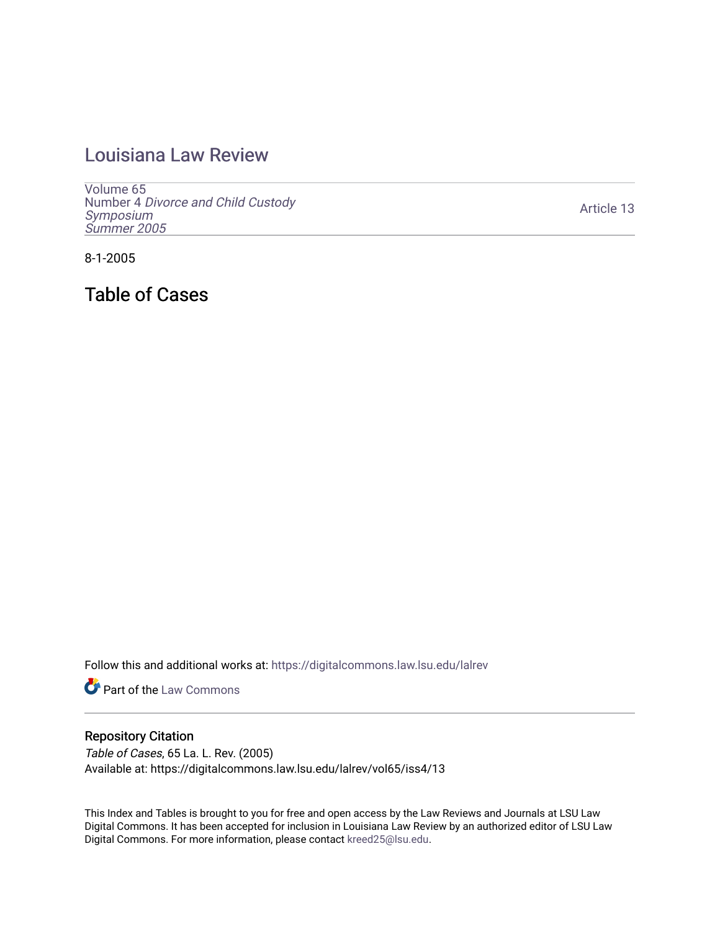## [Louisiana Law Review](https://digitalcommons.law.lsu.edu/lalrev)

[Volume 65](https://digitalcommons.law.lsu.edu/lalrev/vol65) Number 4 [Divorce and Child Custody](https://digitalcommons.law.lsu.edu/lalrev/vol65/iss4)  [Symposium](https://digitalcommons.law.lsu.edu/lalrev/vol65/iss4)  [Summer 2005](https://digitalcommons.law.lsu.edu/lalrev/vol65/iss4) 

[Article 13](https://digitalcommons.law.lsu.edu/lalrev/vol65/iss4/13) 

8-1-2005

Table of Cases

Follow this and additional works at: [https://digitalcommons.law.lsu.edu/lalrev](https://digitalcommons.law.lsu.edu/lalrev?utm_source=digitalcommons.law.lsu.edu%2Flalrev%2Fvol65%2Fiss4%2F13&utm_medium=PDF&utm_campaign=PDFCoverPages)

**Part of the [Law Commons](https://network.bepress.com/hgg/discipline/578?utm_source=digitalcommons.law.lsu.edu%2Flalrev%2Fvol65%2Fiss4%2F13&utm_medium=PDF&utm_campaign=PDFCoverPages)** 

## Repository Citation

Table of Cases, 65 La. L. Rev. (2005) Available at: https://digitalcommons.law.lsu.edu/lalrev/vol65/iss4/13

This Index and Tables is brought to you for free and open access by the Law Reviews and Journals at LSU Law Digital Commons. It has been accepted for inclusion in Louisiana Law Review by an authorized editor of LSU Law Digital Commons. For more information, please contact [kreed25@lsu.edu.](mailto:kreed25@lsu.edu)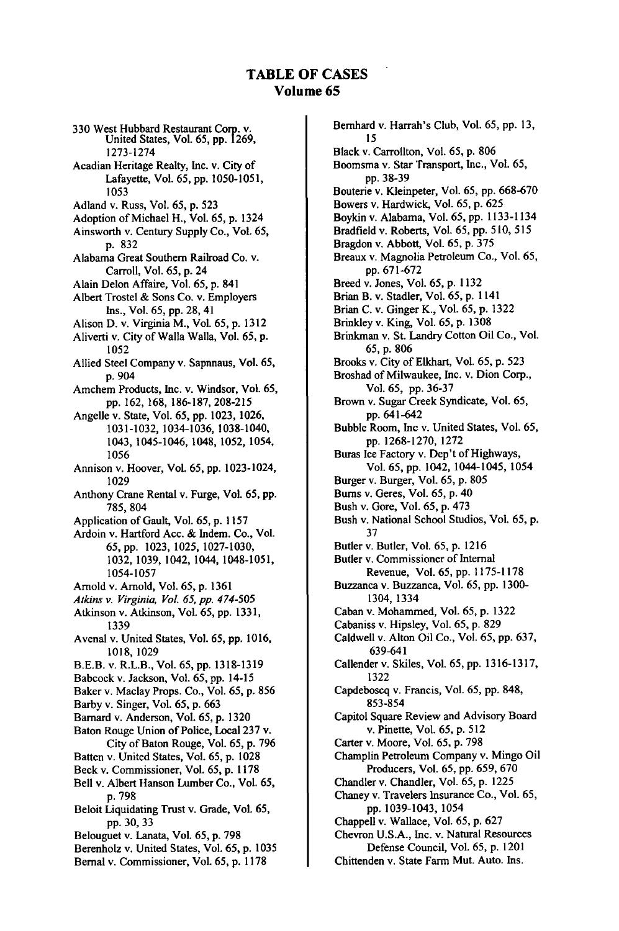## **TABLE OF CASES iolume 65**

330 West Hubbard Restaurant **Corp.** v. United States, Vol. 65, pp. 1269, 1273-1274 Acadian Heritage Realty, Inc. v. City of Lafayette, Vol. 65, pp. 1050-1051, **1053**  Adland v. Russ, Vol. **65, p. 523**  Adoption of Michael H., Vol. **65, p.** 1324 Ainsworth v. Century Supply Co., Vol. 65, **p. 832**  Alabama Great Southern Railroad Co. v. Carroll, Vol. 65, **p.** 24 Alain Delon Affaire, Vol. 65, **p.** 841 Albert Trostel & Sons Co. v. Employers Ins., Vol. 65, pp. **28,** 41 Alison D. v. Virginia M., Vol. 65, p. **1312**  Aliverti v. City of Walla Walla, Vol. 65, p. **1052**  Allied Steel Company v. Sapnnaus, Vol. 65, p. 904 Amchem Products, Inc. v. Windsor, Vol. 65, pp. 162, 168, 186-187, 208-215 Angelle v. State, Vol. 65, pp. 1023, 1026, 1031-1032, 1034-1036, 1038-1040, 1043, 1045-1046, 1048, 1052, 1054, 1056 Annison v. Hoover, Vol. 65, pp. 1023-1024, 1029 Anthony Crane Rental v. Furge, Vol. 65, **pp.**  785,804 Application of Gault, Vol. 65, p. 1157 Ardoin v. Hartford Ace. & Indem. Co., Vol. **65,**pp. 1023, 1025, 1027-1030, 1032, 1039, 1042, 1044, 1048-1051, 1054-1057 Arnold v. Arnold, Vol. 65, p. 1361 *Atkins v. Virginia, Vol. 65, pp. 474-505*  Atkinson v. Atkinson, Vol. 65, pp. 1331, 1339 Avenal v. United States, Vol. 65, pp. 1016, 1018, 1029 B.E.B. v. R.L.B., Vol. 65, pp. 1318-1319 Babcock v. Jackson, Vol. 65, pp. 14-15 Baker v. Maclay Props. Co., Vol. 65, p. 856 Barby v. Singer, Vol. 65, p. 663 Bamard v. Anderson, Vol. 65, p. 1320 Baton Rouge Union of Police, Local 237 v. City of Baton Rouge, Vol. 65, p. 796 Batten v. United States, Vol. 65, p. 1028 Beck v. Commissioner, Vol. 65, p. 1178 Bell v. Albert Hanson Lumber Co., Vol. 65, p. 798 Beloit Liquidating Trust v. Grade, Vol. 65, pp. 30, 33 Belouguet v. Lanata, Vol. 65, p. 798 Berenholz v. United States, Vol. 65, p. 1035 Bernal v. Commissioner, Vol. 65, p. 1178

Bernhard v. Harrah's Club, Vol. 65, **pp. 13,**  15 Black v. Carrollton, Vol. 65, p. 806 Boomsma v. Star Transport, Inc., Vol. 65, pp. 38-39 Bouterie v. Kleinpeter, Vol. 65, pp. 668-670 Bowers v. Hardwick, Vol. 65, p. 625 Boykin v. Alabama, Vol. 65, pp. 1133-1134 Bradfield v. Roberts, Vol. 65, pp. 510, 515 Bragdon v. Abbott, Vol. 65, p. 375 Breaux v. Magnolia Petroleum Co., Vol. 65, pp. 671-672 Breed v. Jones, Vol. 65, p. 1132 Brian B. v. Stadler, Vol. 65, p. 1141 Brian C. v. Ginger K., Vol. 65, p. 1322 Brinkley v. King, Vol. 65, p. 1308 Brinkman v. St. Landry Cotton Oil Co., Vol. **65,** p. 806 Brooks v. City of Elkhart, Vol. 65, p. 523 Broshad of Milwaukee, Inc. v. Dion Corp., Vol. 65, pp. 36-37 Brown v. Sugar Creek Syndicate, Vol. 65, pp. 641-642 Bubble Room, Inc v. United States, Vol. 65, pp. 1268-1270, 1272 Buras Ice Factory v. Dep't of Highways, Vol. 65, pp. 1042, 1044-1045, 1054 Burger v. Burger, Vol. 65, p. 805 Bums v. Geres, Vol. 65, p. 40 Bush v. Gore, Vol. 65, p. 473 Bush v. National School Studios, Vol. 65, p. 37 Butler v. Butler, Vol. 65, p. 1216 Butler v. Commissioner of Internal Revenue, Vol. 65, pp. 1175-1178 Buzzanca v. Buzzanca, Vol. 65, pp. 1300- 1304, 1334 Caban v. Mohammed, Vol. 65, p. 1322 Cabaniss v. Hipsley, Vol. 65, p. 829 Caldwell v. Alton Oil Co., Vol. 65, pp. 637, 639-641 Callender v. Skiles, Vol. 65, pp. 1316-1317, 1322 Capdeboscq v. Francis, Vol. 65, pp. 848, 853-854 Capitol Square Review and Advisory Board v. Pinette, Vol. 65, p. 512 Carter v. Moore, Vol. 65, p. 798 Champlin Petroleum Company v. Mingo Oil Producers, Vol. 65, pp. 659, 670 Chandler v. Chandler, Vol. 65, p. 1225 Chaney v. Travelers Insurance Co., Vol. 65, pp. 1039-1043, 1054 Chappell v. Wallace, Vol. 65, p. 627 Chevron U.S.A., Inc. v. Natural Resources Defense Council, Vol. 65, p. 1201

Chittenden v. State Farm Mut. Auto. Ins.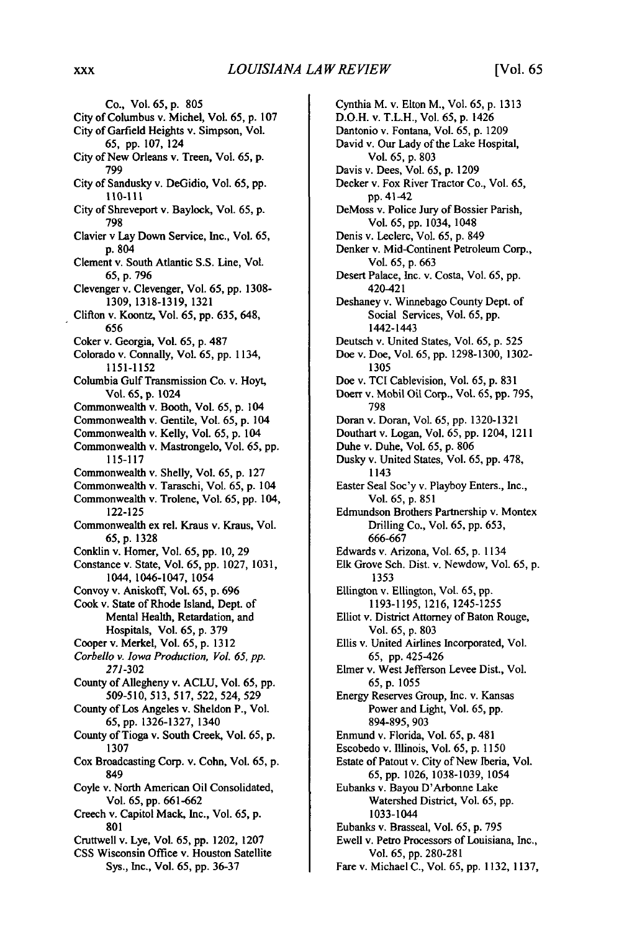Co., Vol. 65, **p. 805**  City of Columbus v. Michel, Vol. **65,** p. **107**  City of Garfield Heights v. Simpson, Vol. **65, pp. 107,** 124 City of New Orleans v. Treen, Vol. **65, p. 799**  City of Sandusky v. DeGidio, Vol. 65, **pp. 110-III**  City of Shreveport v. Baylock, Vol. **65,** p. **798**  Clavier v Lay Down Service, Inc., Vol. **65, p.** 804 Clement v. South Atlantic S.S. Line, Vol. 65, p. 796 Clevenger v. Clevenger, Vol. 65, pp. 1308- 1309, 1318-1319, 1321 Clifton v. Koontz, Vol. 65, pp. 635, 648, 656 Coker v. Georgia, Vol. 65, p. 487 Colorado v. Connally, Vol. 65, pp. 1134, 1151-1152 Columbia Gulf Transmission Co. v. Hoyt, Vol. **65,** p. 1024 Commonwealth v. Booth, Vol. 65, p. 104 Commonwealth v. Gentile, Vol. 65, p. 104 Commonwealth v. Kelly, Vol. 65, p. 104 Commonwealth v. Mastrongelo, Vol. 65, pp. **115-117**  Commonwealth v. Shelly, Vol. 65, p. 127 Commonwealth v. Taraschi, Vol. **65,** p. 104 Commonwealth v. Trolene, Vol. 65, pp. 104, 122-125 Commonwealth ex rel. Kraus v. Kraus, Vol. **65,**p. 1328 Conklin v. Homer, Vol. 65, pp. 10, 29 Constance v. State, Vol. **65,** pp. 1027, 1031, 1044, 1046-1047, 1054 Convoy v. Aniskoff, Vol. 65, p. 696 Cook v. State of Rhode Island, Dept. of Mental Health, Retardation, and Hospitals, Vol. 65, p. 379 Cooper v. Merkel, Vol. 65, p. 1312 *Corbello v. Iowa Production, Vol. 65, pp. 271-302*  County of Allegheny v. ACLU, Vol. 65, pp. 509-510, 513, 517, 522, 524, 529 County of Los Angeles v. Sheldon P., Vol. **65,** pp. 1326-1327, 1340 County of Tioga v. South Creek, Vol. 65, p. 1307 Cox Broadcasting Corp. v. Cohn, Vol. 65, **p.**  849 Coyle v. North American Oil Consolidated, Vol. 65, pp. 661-662 Creech v. Capitol Mack, Inc., Vol. 65, p. 801 Cruttwell v. Lye, Vol. 65, pp. 1202, 1207 CSS Wisconsin Office v. Houston Satellite Sys., Inc., Vol. 65, pp. 36-37

Cynthia M. v. Elton M., Vol. **65,** p. 1313 D.O.H. v. T.L.H., Vol. 65, **p.** 1426 Dantonio v. Fontana, Vol. 65, p. 1209 David v. Our Lady of the Lake Hospital, Vol. 65, p. 803 Davis v. Dees, Vol. 65, p. 1209 Decker v. Fox River Tractor Co., Vol. 65, pp. 41-42 DeMoss v. Police Jury of Bossier Parish, Vol. 65, pp. 1034, 1048 Denis v. Leclerc, Vol. 65, p. 849 Denker v. Mid-Continent Petroleum Corp., Vol. 65, p. 663 Desert Palace, Inc. v. Costa, Vol. 65, pp. 420-421 Deshaney v. Winnebago County Dept. of Social Services, Vol. 65, pp. 1442-1443 Deutsch v. United States, Vol. 65, p. 525 Doe v. Doe, Vol. 65, pp. 1298-1300, 1302- 1305 Doe v. TCI Cablevision, Vol. 65, p. 831 Doerr v. Mobil Oil Corp., Vol. 65, pp. 795, 798 Doran v. Doran, Vol. 65, pp. 1320-1321 Douthart v. Logan, Vol. 65, pp. 1204, 1211 Duhe v. Duhe, Vol. 65, p. 806 Dusky v. United States, Vol. 65, pp. 478, 1143 Easter Seal Soc'y v. Playboy Enters., Inc., Vol. 65, p. 851 Edmundson Brothers Partnership v. Montex Drilling Co., Vol. **65,** pp. 653, 666-667 Edwards v. Arizona, Vol. 65, p. 1134 Elk Grove Sch. Dist. v. Newdow, Vol. 65, p. 1353 Ellington v. Ellington, Vol. **65,** *pp.*  1193-1195, 1216,1245-1255 Elliot v. District Attorney of Baton Rouge, Vol. 65, p. 803 Ellis v. United Airlines Incorporated, Vol. 65, pp. 425-426 Elmer v. West Jefferson Levee Dist., Vol. 65, p. 1055 Energy Reserves Group, Inc. v. Kansas Power and Light, Vol. 65, pp. 894-895, 903 Enmund v. Florida, Vol. 65, p. 481 Escobedo v. Illinois, Vol. 65, p. 1150 Estate of Patout v. City of New Iberia, Vol. 65, pp. 1026, 1038-1039, 1054 Eubanks v. Bayou D'Arbonne Lake Watershed District, Vol. 65, pp. 1033-1044 Eubanks v. Brasseal, Vol. 65, p. 795 Ewell v. Petro Processors of Louisiana, Inc., Vol. 65, pp. 280-281 Fare v. Michael C., Vol. 65, pp. 1132, 1137,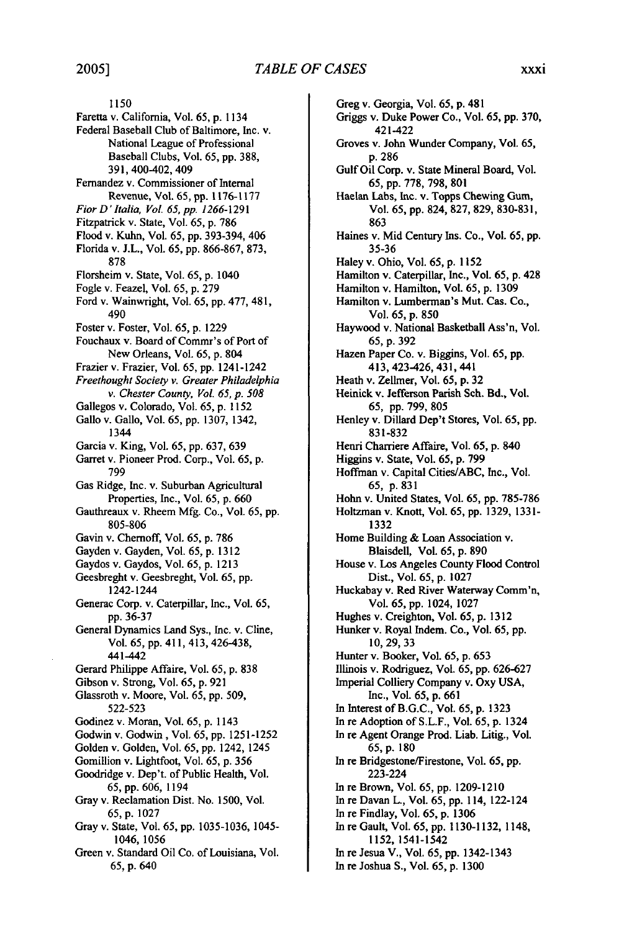**1150**  Faretta v. California, Vol. 65, **p.** 1134 Federal Baseball Club of Baltimore, Inc. v. National League of Professional Baseball Clubs, Vol. 65, pp. 388, 391, 400-402, 409 Fernandez v. Commissioner of Internal Revenue, Vol. 65, **pp.** 1176-1177 *FiorD' Italia, Vol. 65, pp. 1266-1291*  Fitzpatrick v. State, Vol. 65, p. 786 Flood v. Kuhn, Vol. 65, pp. 393-394, 406 Florida v. J.L., Vol. 65, pp. 866-867, 873, 878 Florsheim v. State, Vol. 65, p. 1040 Fogle v. Feazel, Vol. 65, p. 279 Ford v. Wainwright, Vol. 65, pp. 477, 481, 490 Foster v. Foster, Vol. 65, p. 1229 Fouchaux v. Board of Commr's of Port of New Orleans, Vol. 65, p. 804 Frazier v. Frazier, Vol. 65, pp. 1241-1242 *FreethoughtSociety v. Greater Philadelphia v. Chester County, Vol. 65, p. 508*  Gallegos v. Colorado, Vol. 65, p. 1152 Gallo v. Gallo, Vol. 65, pp. 1307, 1342, 1344 Garcia v. King, Vol. 65, pp. 637, 639 Garret v. Pioneer Prod. Corp., Vol. 65, p. 799 Gas Ridge, Inc. v. Suburban Agricultural Properties, Inc., Vol. 65, p. 660 Gauthreaux v. Rheem Mfg. Co., Vol. 65, pp. 805-806 Gavin v. Chemoff, Vol. 65, p. 786 Gayden v. Gayden, Vol. 65, p. 1312 Gaydos v. Gaydos, Vol. 65, p. 1213 Geesbreght v. Geesbreght, Vol. 65, pp. 1242-1244 Generac Corp. v. Caterpillar, Inc., Vol. 65, pp. 36-37 General Dynamics Land Sys., Inc. v. Cline, Vol. 65, pp. 411, 413, 426-438, 441-442 Gerard Philippe Affaire, Vol. 65, p. 838 Gibson v. Strong, Vol. 65, p. 921 Glassroth v. Moore, Vol. 65, pp. 509, 522-523 Godinez v. Moran, Vol. 65, p. 1143 Godwin v. Godwin, Vol. 65, pp. 1251-1252 Golden v. Golden, Vol. 65, pp. 1242, 1245 Gomillion v. Lightfoot, Vol. 65, p. 356 Goodridge v. Dep't. of Public Health, Vol. 65, pp. 606, 1194 Gray v. Reclamation Dist. No. 1500, Vol. 65,p. 1027 Gray v. State, Vol. 65, pp. 1035-1036, 1045- 1046, 1056 Green v. Standard Oil Co. of Louisiana, Vol. 65, p. 640

Greg v. Georgia, Vol. 65, p. 481 Griggs v. Duke Power Co., Vol. 65, pp. 370, 421-422 Groves v. John Wunder Company, Vol. 65, p. 286 Gulf Oil Corp. v. State Mineral Board, Vol. 65,pp. 778,798,801 Haelan Labs, Inc. v. Topps Chewing Gum, Vol. 65, pp. 824, 827, 829, 830-831, 863 Haines v. Mid Century Ins. Co., Vol. 65, pp. 35-36 Haley v. Ohio, Vol. 65, p. 1152 Hamilton v. Caterpillar, Inc., Vol. 65, p. 428 Hamilton v. Hamilton, Vol. 65, p. 1309 Hamilton v. Lumberman's Mut. Cas. Co., Vol. 65, p. 850 Haywood v. National Basketball Ass'n, Vol. 65,p. 392 Hazen Paper Co. v. Biggins, Vol. 65, pp. 413, 423-426, 431,441 Heath v. Zellmer, Vol. 65, p. 32 Heinick v. Jefferson Parish Sch. Bd., Vol. 65, pp. 799, 805 Henley v. Dillard Dep't Stores, Vol. 65, pp. 831-832 Henri Charriere Affaire, Vol. 65, p. 840 Higgins v. State, Vol. 65, p. 799 Hoffman v. Capital Cities/ABC, Inc., Vol. 65, p. 831 Hohn v. United States, Vol. 65, pp. 785-786 Holtzman v. Knott, Vol. 65, pp. 1329, 133 1- 1332 Home Building & Loan Association v. Blaisdell, Vol. 65, p. 890 House v. Los Angeles County Flood Control Dist., Vol. 65, p. 1027 Huckabay v. Red River Waterway Comm'n, Vol. 65, pp. 1024, 1027 Hughes v. Creighton, Vol. 65, p. 1312 Hunker v. Royal Indem. Co., Vol. 65, pp. 10,29,33 Hunter v. Booker, Vol. 65, p. 653 Illinois v. Rodriguez, Vol. 65, pp. 626-627 Imperial Colliery Company v. Oxy **USA,**  Inc., Vol. 65, p. 661 In Interest of B.G.C., Vol. 65, p. 1323 In re Adoption of S.L.F., Vol. 65, p. 1324 In re Agent Orange Prod. Liab. Litig., Vol. 65,p. <sup>180</sup> In re Bridgestone/Firestone, Vol. 65, pp. 223-224 In re Brown, Vol. 65, pp. 1209-1210 In re Davan L., Vol. 65, pp. 114, 122-124 In re Findlay, Vol. 65, p. 1306 In re Gault, Vol. 65, pp. 1130-1132, 1148, 1152, 1541-1542 In re Jesua V., Vol. 65, pp. 1342-1343 In re Joshua S., Vol. 65, p. 1300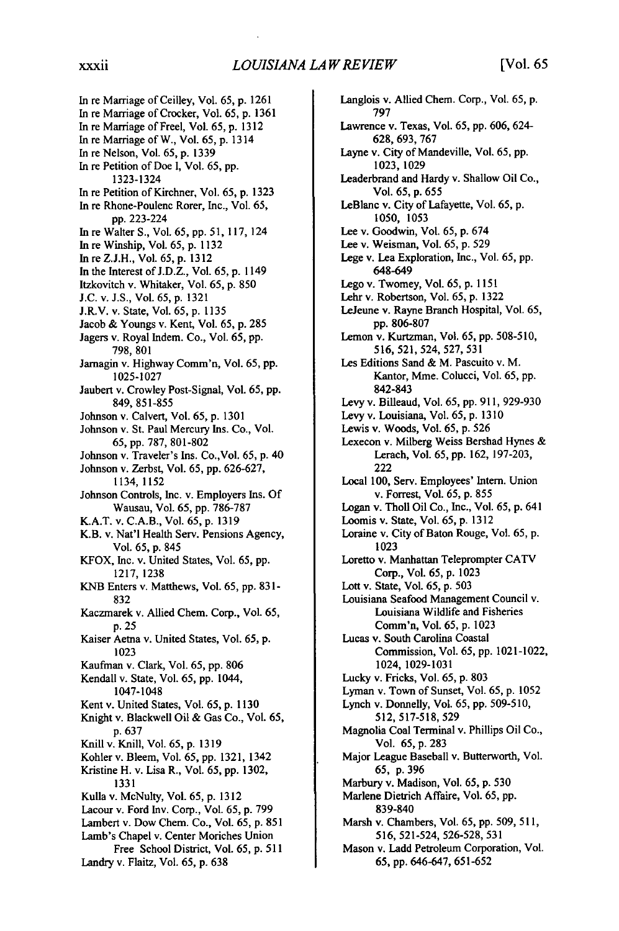In re Marriage of Ceilley, Vol. 65, p. 1261 In re Marriage of Crocker, Vol. 65, p. **1361**  In re Marriage of Freel, Vol. 65, p. 1312 In re Marriage of W., Vol. 65, p. 1314 In re Nelson, Vol. 65, p. 1339 In re Petition of Doe **1,**Vol. 65, pp. 1323-1324 In re Petition of Kirchner, Vol. 65, p. 1323 In re Rhone-Poulenc Rorer, Inc., Vol. 65, pp. 223-224 In re Walter S., Vol. 65, pp. 51, 117, 124 In re Winship, Vol. 65, p. 1132 In re Z.J.H., Vol. 65, p. 1312 In the Interest of J.D.Z., Vol. 65, p. 1149 Itzkovitch v. Whitaker, Vol. 65, p. 850 **J.C.** v. J.S., Vol. 65, p. 1321 J.R.V. v. State, Vol. 65, p. 1135 Jacob & Youngs v. Kent, Vol. 65, p. 285 Jagers v. Royal Indem. Co., Vol. 65, pp. 798, 801 Jarnagin v. Highway Comm'n, Vol. 65, pp. 1025-1027 Jaubert v. Crowley Post-Signal, Vol. 65, pp. 849, 851-855 Johnson v. Calvert, Vol. 65, p. 1301 Johnson v. St. Paul Mercury Ins. Co., Vol. 65, pp. 787, 801-802 Johnson v. Traveler's Ins. Co.,Vol. 65, p. 40 Johnson v. Zerbst, Vol. 65, pp. 626-627, 1134, 1152 Johnson Controls, Inc. v. Employers Ins. Of Wausau, Vol. 65, pp. 786-787 K.A.T. v. C.A.B., Vol. 65, p. 1319 K.B. v. Nat'l Health Serv. Pensions Agency, Vol. 65, p. 845 KFOX, Inc. v. United States, Vol. 65, pp. 1217, 1238 KNB Enters v. Matthews, Vol. 65, pp. 831- 832 Kaczmarek v. Allied Chem. Corp., Vol. 65, p. 25 Kaiser Aetna v. United States, Vol. 65, p. 1023 Kaufman v. Clark, Vol. 65, pp. 806 Kendall v. State, Vol. 65, pp. 1044, 1047-1048 Kent v. United States, Vol. 65, p. 1130 Knight v. Blackwell Oil & Gas Co., Vol. 65, p. 637 Knill v. Knill, Vol. 65, p. 1319 Kohler v. Bleem, Vol. 65, pp. 1321, 1342 Kristine H. v. Lisa R., Vol. 65, pp. 1302, 1331 Kulla v. McNulty, Vol. 65, p. 1312 Lacour v. Ford Inv. Corp., Vol. 65, p. 799 Lambert v. Dow Chem. Co., Vol. 65, p. 851 Lamb's Chapel v. Center Moriches Union Free School District, Vol. 65, p. 511 Landry v. Flaitz, Vol. 65, p. 638

Langlois v. Allied Chem. Corp., Vol. 65, p. 797 Lawrence v. Texas, Vol. 65, pp. 606, 624- 628,693, 767 Layne v. City of Mandeville, Vol. 65, pp. 1023, 1029 Leaderbrand and Hardy v. Shallow Oil Co., Vol. 65, p. 655 LeBlanc v. City of Lafayette, Vol. 65, p. 1050, 1053 Lee v. Goodwin, Vol. 65, p. 674 Lee v. Weisman, Vol. 65, p. 529 Lege v. Lea Exploration, Inc., Vol. 65, pp. 648-649 Lego v. Twomey, Vol. 65, p. 1151 Lehr v. Robertson, Vol. 65, p. 1322 LeJeune v. Rayne Branch Hospital, Vol. 65, pp. 806-807 Lemon v. Kurtzman, Vol. 65, pp. 508-510, 516, 521,524, 527, 531 Les Editions Sand & M. Pascuito v. M. Kantor, Mme. Colucci, Vol. 65, pp. 842-843 Levy v. Billeaud, Vol. 65, pp. 911, 929-930 Levy v. Louisiana, Vol. 65, p. 1310 Lewis v. Woods, Vol. 65, p. 526 Lexecon v. Milberg Weiss Bershad Hynes & Lerach, Vol. 65, pp. 162, 197-203, 222 Local 100, Serv. Employees' Intern. Union v. Forrest, Vol. 65, p. 855 Logan v. Tholl Oil Co., Inc., Vol. 65, p. 641 Loomis v. State, Vol. 65, p. 1312 Loraine v. City of Baton Rouge, Vol. 65, p. 1023 Loretto v. Manhattan Teleprompter CATV Corp., Vol. 65, p. 1023 Lott v. State, Vol. 65, p. 503 Louisiana Seafood Management Council v. Louisiana Wildlife and Fisheries Comm'n, Vol. 65, p. 1023 Lucas v. South Carolina Coastal Commission, Vol. 65, pp. 1021-1022, 1024, 1029-1031 Lucky v. Fricks, Vol. 65, p. 803 Lyman v. Town of Sunset, Vol. 65, p. 1052 Lynch v. Donnelly, Vol. 65, pp. 509-510, 512, 517-518, 529 Magnolia Coal Terminal v. Phillips Oil Co., Vol. 65, p. 283 Major League Baseball v. Butterworth, Vol.<br>65, p. 396 Marbury v. Madison, Vol. 65, p. 530 Marlene Dietrich Affaire, Vol. 65, pp. 839-840 Marsh v. Chambers, Vol. 65, pp. 509, 511, 516, 521-524, 526-528, 531 Mason v. Ladd Petroleum Corporation, Vol. 65, pp. 646-647, 651-652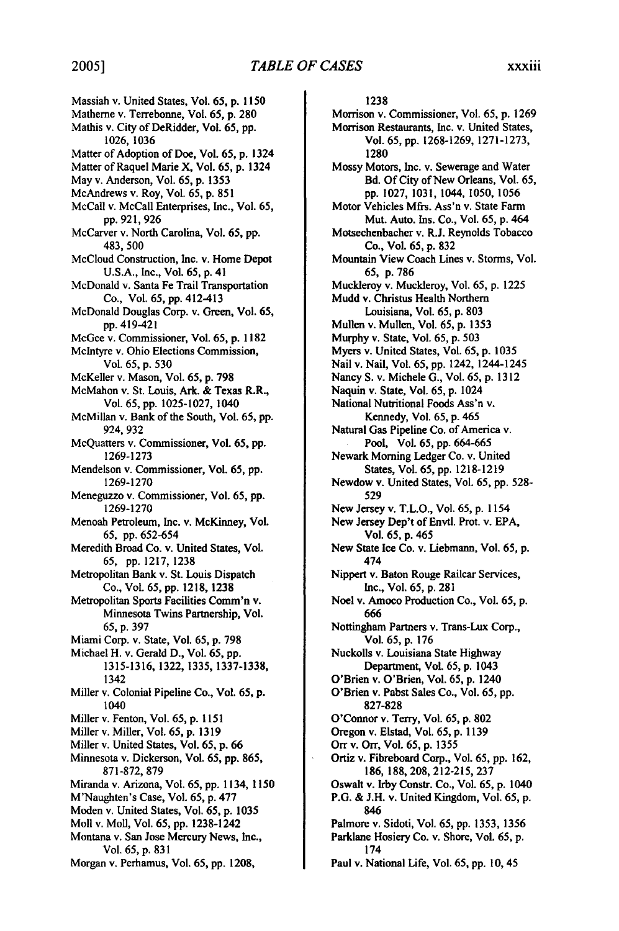Massiah v. United States, Vol. 65, p. 1150 Matherne v. Terrebonne, Vol. **65, p. 280**  Mathis v. City of DeRidder, Vol. 65, pp. 1026, 1036 Matter of Adoption of Doe, Vol. 65, p. 1324 Matter of Raquel Marie X, Vol. 65, p. 1324 May v. Anderson, Vol. 65, p. 1353 McAndrews v. Roy, Vol. 65, p. 851 McCall v. McCall Enterprises, Inc., Vol. 65, pp. 921, 926 McCarver v. North Carolina, Vol. 65, pp. 483,500 McCloud Construction, Inc. v. Home Depot U.S.A., Inc., Vol. 65, p. 41 McDonald v. Santa Fe Trail Transportation Co., Vol. 65, pp. 412-413 McDonald Douglas Corp. v. Green, Vol. 65, pp. 419-421 McGee v. Commissioner, Vol. 65, p. 1182 McIntyre v. Ohio Elections Commission, Vol. 65, p. 530 McKeller v. Mason, Vol. 65, p. 798 McMahon v. St. Louis, Ark. & Texas R.R., Vol. 65, pp. 1025-1027, 1040 McMillan v. Bank of the South, Vol. 65, pp. 924, 932 McQuatters v. Commissioner, Vol. 65, **pp.**  1269-1273 Mendelson v. Commissioner, Vol. 65, pp. 1269-1270 Meneguzzo v. Commissioner, Vol. 65, pp. 1269-1270 Menoah Petroleum, Inc. v. McKinney, Vol. *65,* pp. 652-654 Meredith Broad Co. v. United States, Vol. 65, pp. 1217, 1238 Metropolitan Bank v. St. Louis Dispatch Co., Vol. 65, pp. 1218, 1238 Metropolitan Sports Facilities Comm'n v. Minnesota Twins Partnership, Vol. **65, p. 397**  Miami Corp. v. State, Vol. **65, p. 798**  Michael H. v. Gerald **D.,** Vol. **65, pp. 1315-1316, 1322, 1335, 1337-1338,**  1342 Miller v. Colonial Pipeline Co., Vol. **65, p.**  1040 Miller v. Fenton, Vol. **65, p. 1151**  Miller v. Miller, Vol. **65, p. 1319**  Miller v. United States, Vol. **65, p. 66**  Minnesota v. Dickerson, Vol. **65, pp. 865, 871-872, 879**  Miranda v. Arizona, Vol. **65, pp. 1134, 1150**  M'Naughten's Case, Vol. **65, p. 477**  Moden v. United States, Vol. **65, p. 1035**  Moll v. Moll, Vol. **65, pp.** 1238-1242 Montana v. San Jose Mercury News, Inc., Vol. **65, p. 831**  Morgan v. Perhamus, Vol. **65, pp. 1208,** 

1238 Morrison v. Commissioner, Vol. **65, p. 1269**  Morrison Restaurants, Inc. v. United States, Vol. 65, pp. 1268-1269, 1271-1273, 1280 Mossy Motors, Inc. v. Sewerage and Water Bd. Of City of New Orleans, Vol. 65, **pp.** 1027, 1031, 1044, 1050, 1056 Motor Vehicles Mfrs. Ass'n v. State Farm Mut. Auto. Ins. Co., Vol. 65, p. 464 Motsechenbacher v. R.J. Reynolds Tobacco Co., Vol. 65, p. 832 Mountain View Coach Lines v. Storms, Vol. 65, p. 786 Muckleroy v. Muckleroy, Vol. 65, p. 1225 Mudd v. Christus Health Northern Louisiana, Vol. 65, p. 803 Mullen v. Mullen, Vol. 65, p. 1353 Murphy v. State, Vol. 65, p. 503 Myers v. United States, Vol. 65, p. 1035 Nail v. Nail, Vol. 65, pp. 1242, 1244-1245 Nancy S. v. Michele G., Vol. 65, p. 1312 Naquin v. State, Vol. 65, p. 1024 National Nutritional Foods Ass'n v. Kennedy, Vol. 65, p. 465 Natural Gas Pipeline Co. of America v. Pool, Vol. 65, pp. 664-665 Newark Morning Ledger Co. v. United States, Vol. 65, pp. 1218-1219 Newdow v. United States, Vol. 65, pp. 528- 529 New Jersey v. T.L.O., Vol. 65, p. 1154 New Jersey Dep't of Envtl. Prot. v. EPA, Vol. 65, **p.** 465 New State Ice Co. v. Liebmann, Vol. 65, p. 474 Nippert v. Baton Rouge Railcar Services, Inc., Vol. 65, p. 281 Noel v. Amoco Production Co., Vol. 65, p. 666 Nottingham Partners v. Trans-Lux Corp., Vol. 65, p. 176 Nuckolls v. Louisiana State Highway Department, Vol. 65, p. 1043 O'Brien v. O'Brien, Vol. 65, p. 1240 O'Brien v. Pabst Sales Co., Vol. 65, pp. 827-828 O'Connor v. Terry, Vol. 65, **p. 802**  Oregon v. Elstad, Vol. 65, p. 1139 Orr v. Orr, Vol. 65, p. 1355 Ortiz v. Fibreboard Corp., Vol. 65, pp. 162, 186, 188, 208, 212-215, 237 Oswalt v. Irby Constr. Co., Vol. 65, p. 1040 P.G. & J.H. v. United Kingdom, Vol. 65, p. 846 Palmore v. Sidoti, Vol. 65, pp. 1353, 1356 Parklane Hosiery Co. v. Shore, Vol. 65, p. 174

Paul v. National Life, Vol. 65, pp. **10,** 45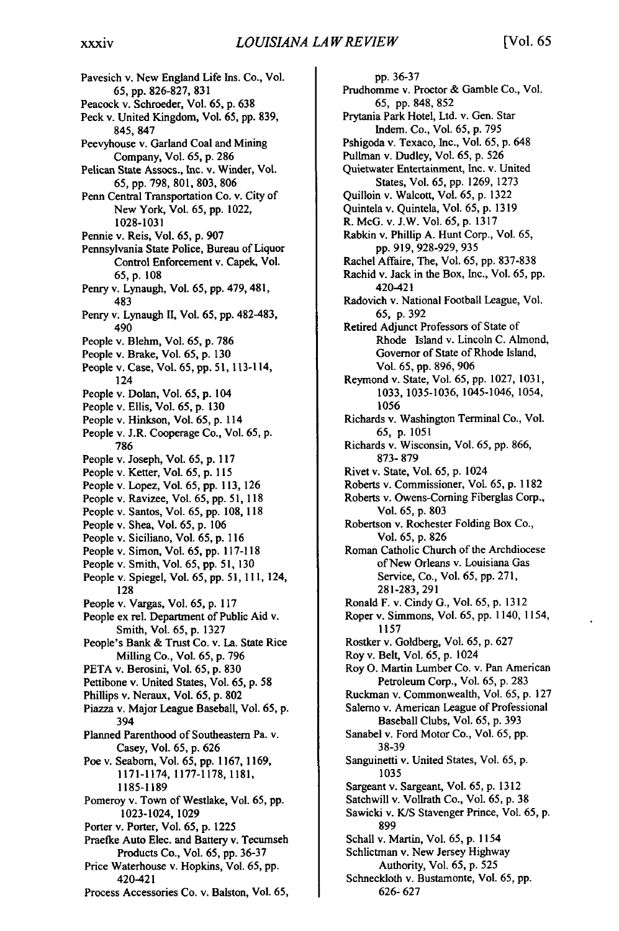Pavesich v. New England Life Ins. Co., Vol. **65, pp.** 826-827, 831 Peacock v. Schroeder, Vol. 65, p. 638 Peck v. United Kingdom, Vol. 65, pp. 839, 845, 847 Peevyhouse v. Garland Coal and Mining Company, Vol. 65, p. 286 Pelican State Assocs., Inc. v. Winder, Vol. 65,pp. 798, 801,803,806 Penn Central Transportation Co. v. City of New York, Vol. 65, pp. 1022, 1028-1031 Pennie v. Reis, Vol. 65, p. 907 Pennsylvania State Police, Bureau of Liquor Control Enforcement v. Capek, Vol. 65,p. 108 Penry v. Lynaugh, Vol. 65, pp. 479, 481, 483 Penry v. Lynaugh II, Vol. 65, pp. 482-483, 490 People v. Blehm, Vol. 65, p. 786 People v. Brake, Vol. 65, p. 130 People v. Case, Vol. **65, pp. 51,** 113-114, 124 People v. Dolan, Vol. 65, p. 104 People v. Ellis, Vol. 65, p. 130 People v. Hinkson, Vol. 65, p. 114 People v. J.R. Cooperage Co., Vol. 65, p. 786 People v. Joseph, Vol. 65, p. 117 People v. Ketter, Vol. 65, p. 115 People v. Lopez, Vol. 65, pp. 113, 126 People v. Ravizee, Vol. 65, pp. 51, 118 People v. Santos, Vol. 65, pp. 108, 118 People v. Shea, Vol. **65,** p. 106 People v. Siciliano, Vol. 65, p. 116 People v. Simon, Vol. 65, pp. 117-118 People v. Smith, Vol. 65, **pp.** 51, 130 People v. Spiegel, Vol. 65, pp. 51, **111,** 124, 128 People v. Vargas, Vol. 65, p. 117 People ex rel. Department of Public Aid v. Smith, Vol. 65, p. 1327 People's Bank & Trust Co. v. La. State Rice Milling Co., Vol. 65, p. 796 PETA v. Berosini, Vol. 65, p. 830 Pettibone v. United States, Vol. 65, p. 58 Phillips v. Neraux, Vol. 65, p. 802 Piazza v. Major League Baseball, Vol. 65, p. 394 Planned Parenthood of Southeastern Pa. v. Casey, Vol. 65, p. 626 Poe v. Seabom, Vol. 65, pp. 1167, 1169, 1171-1174, 1177-1178,1181, **1185-1189**  Pomeroy v. Town of Westlake, Vol. 65, pp. 1023-1024, 1029 Porter v. Porter, Vol. 65, p. 1225 Praefke Auto Elec. and Battery v. Tecumseh Products Co., Vol. 65, pp. **36-37**  Price Waterhouse v. Hopkins, Vol. 65, pp. 420-421 Process Accessories Co. v. Balston, Vol. **65,** 

**pp.** 36-37 Prudhomme v. Proctor & Gamble Co., Vol. 65, **pp.** 848, 852 Prytania Park Hotel, Ltd. v. Gen. Star Indem. Co., Vol. 65, p. 795 Pshigoda v. Texaco, Inc., Vol. 65, p. 648 Pullman v. Dudley, Vol. 65, p. 526 Quietwater Entertainment, Inc. v. United States, Vol. 65, pp. 1269, 1273 Quilloin v. Walcott, Vol. 65, p. 1322 Quintela v. Quintela, Vol. 65, p. 1319 R. McG. v. J.W. Vol. 65, p. 1317 Rabkin v. Phillip A. Hunt Corp., Vol. 65, pp. 919, 928-929, 935 Rachel Affaire, The, Vol. 65, pp. 837-838 Rachid v. Jack in the Box, Inc., Vol. 65, pp. 420-421 Radovich v. National Football League, Vol. 65, p. 392 Retired Adjunct Professors of State of Rhode Island v. Lincoln C. Almond, Governor of State of Rhode Island, Vol. 65, *pp.* 896, 906 Reymond v. State, Vol. 65, pp. 1027, 1031, 1033, 1035-1036, 1045-1046, 1054, 1056 Richards v. Washington Terminal Co., Vol. 65, p. 1051 Richards v. Wisconsin, Vol. 65, pp. 866, 873- 879 Rivet v. State, Vol. 65, p. 1024 Roberts v. Commissioner, Vol. 65, p. 1182 Roberts v. Owens-Corning Fiberglas Corp., Vol. 65, p. 803 Robertson v. Rochester Folding Box Co., Vol. 65, p. 826 Roman Catholic Church of the Archdiocese of New Orleans v. Louisiana Gas Service, Co., Vol. 65, pp. 271, 281-283, 291 Ronald F. v. Cindy G., Vol. 65, p. 1312 Roper v. Simmons, Vol. 65, pp. 1140, 1154, 1157 Rostker v. Goldberg, Vol. 65, p. 627 Roy v. Belt, Vol. 65, p. 1024 Roy **0.** Martin Lumber Co. v. Pan American Petroleum Corp., Vol. 65, p. 283 Ruckman v. Commonwealth, Vol. 65, p. 127 Salerno v. American League of Professional Baseball Clubs, Vol. 65, p. 393 Sanabel v. Ford Motor Co., Vol. 65, pp. 38-39 Sanguinetti v. United States, Vol. 65, p. 1035 Sargeant v. Sargeant, Vol. 65, p. 1312 Satchwill v. Vollrath Co., Vol. 65, p. 38 Sawicki v. K/S Stavenger Prince, Vol. 65, p. 899 Schall v. Martin, Vol. 65, p. 1154 Schlictman v. New Jersey Highway Authority, Vol. 65, p. 525 Schneckloth v. Bustamonte, Vol. 65, pp. 626- 627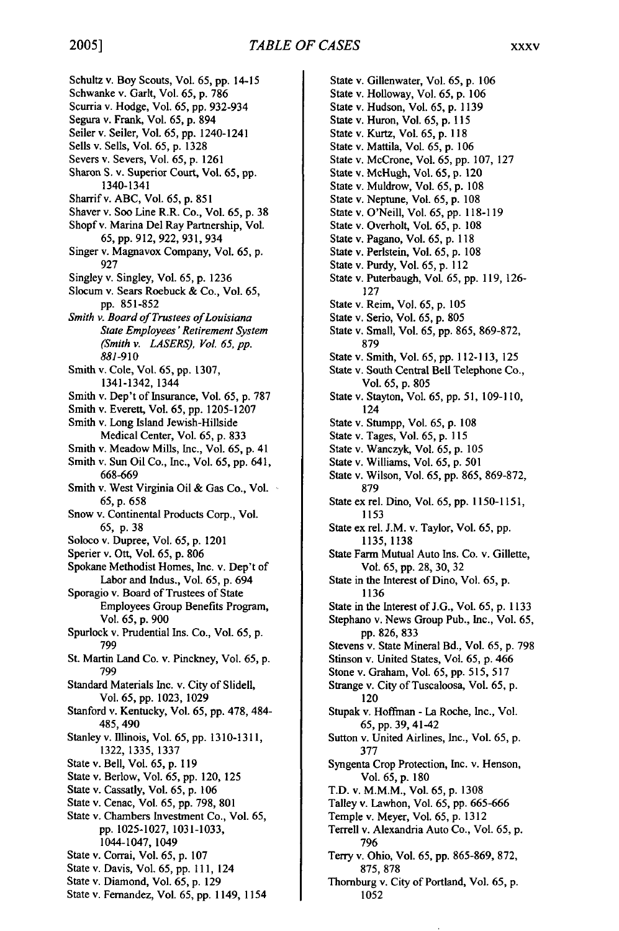Schultz v. Boy Scouts, Vol. 65, pp. 14-15 Schwanke v. Garlt, Vol. 65, p. 786 Scurria v. Hodge, Vol. 65, pp. 932-934 Segura v. Frank, Vol. 65, p. 894 Seiler v. Seiler, Vol. 65, pp. 1240-1241 Sells v. Sells, Vol. 65, p. 1328 Severs v. Severs, Vol. 65, p. 1261 Sharon S. v. Superior Court, Vol. 65, **pp.**  1340-1341 Sharrif v. ABC, Vol. 65, p. 851 Shaver v. Soo Line R.R. Co., Vol. 65, p. 38 Shopfv. Marina Del Ray Partnership, Vol. 65, pp. 912, 922, 931,934 Singer v. Magnavox Company, Vol. *65,* p. 927 Singley v. Singley, Vol. 65, p. 1236 Slocum v. Sears Roebuck & Co., Vol. 65, pp. 851-852 *Smith v. Boardof Trustees ofLouisiana StateEmployees'Retirement System (Smith v. LASERS), Vol. 65, pp. 881-910*  Smith v. Cole, Vol. 65, pp. 1307, 1341-1342, 1344 Smith v. Dep't of Insurance, Vol. 65, p. 787 Smith v. Everett, Vol. 65, pp. 1205-1207 Smith v. Long Island Jewish-Hillside Medical Center, Vol. 65, p. 833 Smith v. Meadow Mills, Inc., Vol. 65, p. 41 Smith v. Sun Oil Co., Inc., Vol. 65, pp. 641, 668-669 Smith v. West Virginia Oil & Gas Co., Vol. 65, p. 658 Snow v. Continental Products Corp., Vol. 65, p. 38 Soloco v. Dupree, Vol. 65, p. 1201 Sperier v. Ott, Vol. 65, p. 806 Spokane Methodist Homes, Inc. v. Dep't of Labor and Indus., Vol. 65, p. 694 Sporagio v. Board of Trustees of State Employees Group Benefits Program, Vol. *65,* p. 900 Spurlock v. Prudential Ins. Co., Vol. 65, p. 799 St. Martin Land Co. v. Pinckney, Vol. *65,* p. 799 Standard Materials Inc. v. City of Slidell, Vol. 65, pp. 1023, 1029 Stanford v. Kentucky, Vol. 65, pp. 478, 484- 485,490 Stanley v. Illinois, Vol. 65, pp. 1310-1311, 1322, 1335, 1337 State v. Bell, Vol. 65, p. **119**  State v. Berlow, Vol. 65, pp. 120, 125 State v. Cassatly, Vol. 65, p. 106 State v. Cenac, Vol. 65, pp. 798, 801 State v. Chambers Investment Co., Vol. 65, pp. 1025-1027, 1031-1033, 1044-1047, 1049 State v. Corrai, Vol. 65, p. 107 State v. Davis, Vol. 65, pp. 111, 124

State v. Diamond, Vol. 65, p. 129 State v. Fernandez, Vol. 65, pp. 1149, 1154

State v. Gillenwater, Vol. 65, p. **106**  State v. Holloway, Vol. 65, p. 106 State v. Hudson, Vol. 65, p. **1139**  State v. Huron, Vol. 65, **p. 115**  State v. Kurtz, Vol. 65, p. **118**  State v. Mattila, Vol. 65, p. 106 State v. McCrone, Vol. 65, pp. **107, 127**  State v. McHugh, Vol. 65, p. 120 State v. Muldrow, Vol. 65, **p. 108**  State v. Neptune, Vol. 65, p. **108**  State v. O'Neill, Vol. **65, pp. 118-119**  State v. Overholt, Vol. 65, **p. 108**  State v. Pagano, Vol. 65, p. **118**  State v. Perlstein, Vol. 65, **p. 108**  State v. Purdy, Vol. **65,** p. **112**  State v. Puterbaugh, Vol. 65, **pp.** 119, 126- **127**  State v. Reim, Vol. 65, **p.** 105 State v. Serio, Vol. 65, **p. 805**  State v. Small, Vol. 65, pp. 865, 869-872, **879**  State v. Smith, Vol. *65,* pp. 112-113, **125**  State v. South Central Bell Telephone Co., Vol. 65, p. 805 State v. Stayton, Vol. 65, pp. 51, 109-110, 124 State v. Stumpp, Vol. 65, p. 108 State v. Tages, Vol. 65, p. 115 State v. Wanczyk, Vol. 65, p. 105 State v. Williams, Vol. 65, p. 501 State v. Wilson, Vol. 65, pp. 865, 869-872, 879 State ex rel. Dino, Vol. 65, pp. 1150-1151, 1153 State ex rel. J.M. v. Taylor, Vol. 65, pp. 1135, 1138 State Farm Mutual Auto Ins. Co. v. Gillette, Vol. 65, pp. 28, 30, 32 State in the Interest of Dino, Vol. 65, p. 1136 State in the Interest of J.G., Vol. 65, p. 1133 Stephano v. News Group Pub., Inc., Vol. 65, pp.826,833 Stevens v. State Mineral Bd., Vol. 65, p. 798 Stinson v. United States, Vol. 65, p. 466 Stone v. Graham, Vol. 65, pp. 515, 517 Strange v. City of Tuscaloosa, Vol. 65, p. 120 Stupak v. Hoffman - La Roche, Inc., Vol. **65,** pp. 39, 41-42 Sutton v. United Airlines, Inc., Vol. 65, p. **377**  Syngenta Crop Protection, Inc. v. Henson, Vol. 65, p. **180**  T.D. v. M.M.M., Vol. 65, p. 1308 Talley v. Lawhon, Vol. 65, pp. 665-666 Temple v. Meyer, Vol. 65, p. **1312**  Terrell v. Alexandria Auto Co., Vol. **65,** p. 796 Terry v. Ohio, Vol. 65, pp. 865-869, 872, 875, 878 Thornburg v. City of Portland, Vol. 65, p.

1052